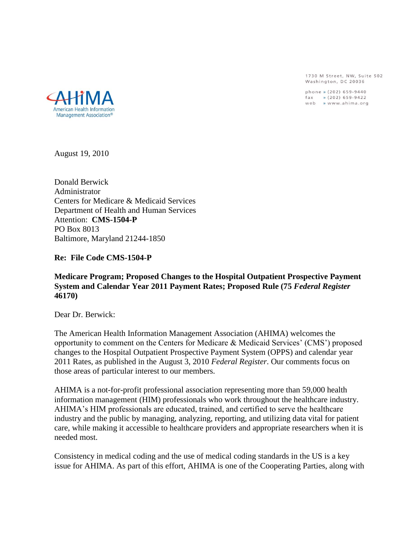1730 M Street, NW, Suite 502 Washington, DC 20036

phone » (202) 659-9440 fax » (202) 659-9422<br>web » www.ahima.org



August 19, 2010

Donald Berwick Administrator Centers for Medicare & Medicaid Services Department of Health and Human Services Attention: **CMS-1504-P** PO Box 8013 Baltimore, Maryland 21244-1850

**Re: File Code CMS-1504-P**

#### **Medicare Program; Proposed Changes to the Hospital Outpatient Prospective Payment System and Calendar Year 2011 Payment Rates; Proposed Rule (75** *Federal Register* **46170)**

Dear Dr. Berwick:

The American Health Information Management Association (AHIMA) welcomes the opportunity to comment on the Centers for Medicare & Medicaid Services' (CMS') proposed changes to the Hospital Outpatient Prospective Payment System (OPPS) and calendar year 2011 Rates, as published in the August 3, 2010 *Federal Register*. Our comments focus on those areas of particular interest to our members.

AHIMA is a not-for-profit professional association representing more than 59,000 health information management (HIM) professionals who work throughout the healthcare industry. AHIMA's HIM professionals are educated, trained, and certified to serve the healthcare industry and the public by managing, analyzing, reporting, and utilizing data vital for patient care, while making it accessible to healthcare providers and appropriate researchers when it is needed most.

Consistency in medical coding and the use of medical coding standards in the US is a key issue for AHIMA. As part of this effort, AHIMA is one of the Cooperating Parties, along with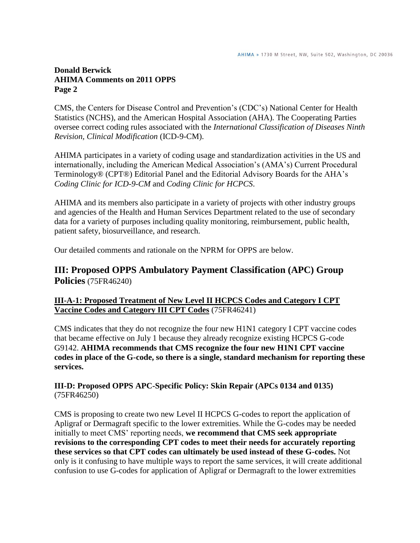CMS, the Centers for Disease Control and Prevention's (CDC's) National Center for Health Statistics (NCHS), and the American Hospital Association (AHA). The Cooperating Parties oversee correct coding rules associated with the *International Classification of Diseases Ninth Revision, Clinical Modification* (ICD-9-CM).

AHIMA participates in a variety of coding usage and standardization activities in the US and internationally, including the American Medical Association's (AMA's) Current Procedural Terminology® (CPT®) Editorial Panel and the Editorial Advisory Boards for the AHA's *Coding Clinic for ICD-9-CM* and *Coding Clinic for HCPCS*.

AHIMA and its members also participate in a variety of projects with other industry groups and agencies of the Health and Human Services Department related to the use of secondary data for a variety of purposes including quality monitoring, reimbursement, public health, patient safety, biosurveillance, and research.

Our detailed comments and rationale on the NPRM for OPPS are below.

# **III: Proposed OPPS Ambulatory Payment Classification (APC) Group Policies** (75FR46240)

#### **III-A-1: Proposed Treatment of New Level II HCPCS Codes and Category I CPT Vaccine Codes and Category III CPT Codes** (75FR46241)

CMS indicates that they do not recognize the four new H1N1 category I CPT vaccine codes that became effective on July 1 because they already recognize existing HCPCS G-code G9142. **AHIMA recommends that CMS recognize the four new H1N1 CPT vaccine codes in place of the G-code, so there is a single, standard mechanism for reporting these services.**

## **III-D: Proposed OPPS APC-Specific Policy: Skin Repair (APCs 0134 and 0135)** (75FR46250)

CMS is proposing to create two new Level II HCPCS G-codes to report the application of Apligraf or Dermagraft specific to the lower extremities. While the G-codes may be needed initially to meet CMS' reporting needs, **we recommend that CMS seek appropriate revisions to the corresponding CPT codes to meet their needs for accurately reporting these services so that CPT codes can ultimately be used instead of these G-codes.** Not only is it confusing to have multiple ways to report the same services, it will create additional confusion to use G-codes for application of Apligraf or Dermagraft to the lower extremities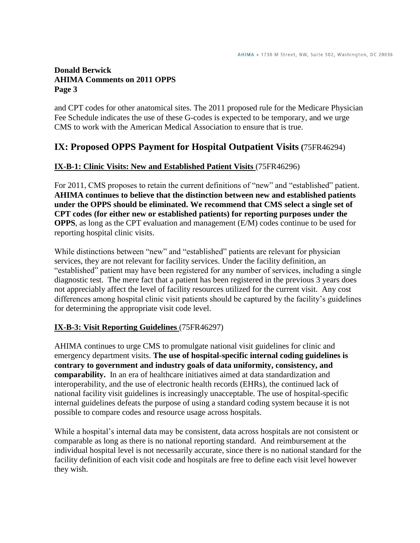and CPT codes for other anatomical sites. The 2011 proposed rule for the Medicare Physician Fee Schedule indicates the use of these G-codes is expected to be temporary, and we urge CMS to work with the American Medical Association to ensure that is true.

# **IX: Proposed OPPS Payment for Hospital Outpatient Visits (**75FR46294)

#### **IX-B-1: Clinic Visits: New and Established Patient Visits** (75FR46296)

For 2011, CMS proposes to retain the current definitions of "new" and "established" patient. **AHIMA continues to believe that the distinction between new and established patients under the OPPS should be eliminated. We recommend that CMS select a single set of CPT codes (for either new or established patients) for reporting purposes under the OPPS**, as long as the CPT evaluation and management (E/M) codes continue to be used for reporting hospital clinic visits.

While distinctions between "new" and "established" patients are relevant for physician services, they are not relevant for facility services. Under the facility definition, an "established" patient may have been registered for any number of services, including a single diagnostic test. The mere fact that a patient has been registered in the previous 3 years does not appreciably affect the level of facility resources utilized for the current visit. Any cost differences among hospital clinic visit patients should be captured by the facility's guidelines for determining the appropriate visit code level.

#### **IX-B-3: Visit Reporting Guidelines** (75FR46297)

AHIMA continues to urge CMS to promulgate national visit guidelines for clinic and emergency department visits. **The use of hospital-specific internal coding guidelines is contrary to government and industry goals of data uniformity, consistency, and comparability.** In an era of healthcare initiatives aimed at data standardization and interoperability, and the use of electronic health records (EHRs), the continued lack of national facility visit guidelines is increasingly unacceptable. The use of hospital-specific internal guidelines defeats the purpose of using a standard coding system because it is not possible to compare codes and resource usage across hospitals.

While a hospital's internal data may be consistent, data across hospitals are not consistent or comparable as long as there is no national reporting standard. And reimbursement at the individual hospital level is not necessarily accurate, since there is no national standard for the facility definition of each visit code and hospitals are free to define each visit level however they wish.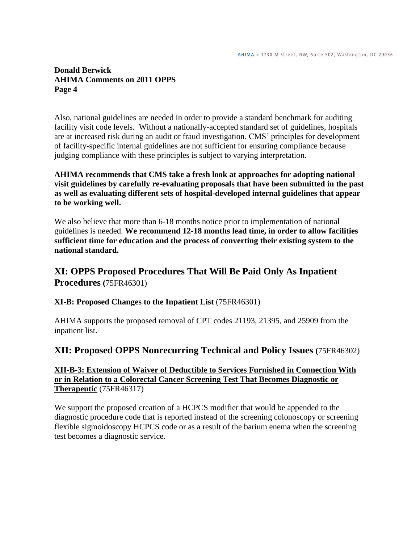Also, national guidelines are needed in order to provide a standard benchmark for auditing facility visit code levels. Without a nationally-accepted standard set of guidelines, hospitals are at increased risk during an audit or fraud investigation. CMS' principles for development of facility-specific internal guidelines are not sufficient for ensuring compliance because judging compliance with these principles is subject to varying interpretation.

#### **AHIMA recommends that CMS take a fresh look at approaches for adopting national visit guidelines by carefully re-evaluating proposals that have been submitted in the past as well as evaluating different sets of hospital-developed internal guidelines that appear to be working well.**

We also believe that more than  $6-18$  months notice prior to implementation of national guidelines is needed. **We recommend 12-18 months lead time, in order to allow facilities sufficient time for education and the process of converting their existing system to the national standard.**

# **XI: OPPS Proposed Procedures That Will Be Paid Only As Inpatient Procedures (**75FR46301)

**XI-B: Proposed Changes to the Inpatient List** (75FR46301)

AHIMA supports the proposed removal of CPT codes 21193, 21395, and 25909 from the inpatient list.

# **XII: Proposed OPPS Nonrecurring Technical and Policy Issues (**75FR46302)

#### **XII-B-3: Extension of Waiver of Deductible to Services Furnished in Connection With or in Relation to a Colorectal Cancer Screening Test That Becomes Diagnostic or Therapeutic** (75FR46317)

We support the proposed creation of a HCPCS modifier that would be appended to the diagnostic procedure code that is reported instead of the screening colonoscopy or screening flexible sigmoidoscopy HCPCS code or as a result of the barium enema when the screening test becomes a diagnostic service.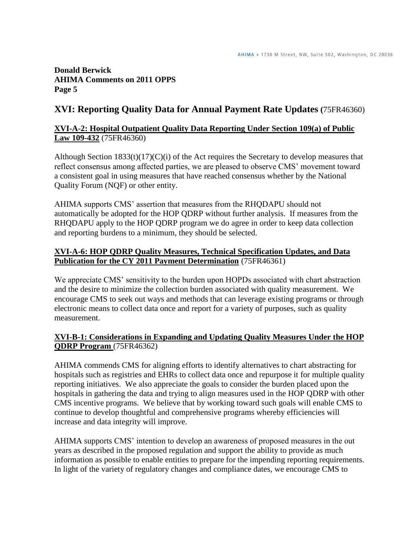# **XVI: Reporting Quality Data for Annual Payment Rate Updates (**75FR46360)

### **XVI-A-2: Hospital Outpatient Quality Data Reporting Under Section 109(a) of Public Law 109-432** (75FR46360)

Although Section  $1833(t)(17)(C)(i)$  of the Act requires the Secretary to develop measures that reflect consensus among affected parties, we are pleased to observe CMS' movement toward a consistent goal in using measures that have reached consensus whether by the National Quality Forum (NQF) or other entity.

AHIMA supports CMS' assertion that measures from the RHQDAPU should not automatically be adopted for the HOP QDRP without further analysis. If measures from the RHQDAPU apply to the HOP QDRP program we do agree in order to keep data collection and reporting burdens to a minimum, they should be selected.

### **XVI-A-6: HOP QDRP Quality Measures, Technical Specification Updates, and Data Publication for the CY 2011 Payment Determination** (75FR46361)

We appreciate CMS' sensitivity to the burden upon HOPDs associated with chart abstraction and the desire to minimize the collection burden associated with quality measurement. We encourage CMS to seek out ways and methods that can leverage existing programs or through electronic means to collect data once and report for a variety of purposes, such as quality measurement.

## **XVI-B-1: Considerations in Expanding and Updating Quality Measures Under the HOP QDRP Program** (75FR46362)

AHIMA commends CMS for aligning efforts to identify alternatives to chart abstracting for hospitals such as registries and EHRs to collect data once and repurpose it for multiple quality reporting initiatives. We also appreciate the goals to consider the burden placed upon the hospitals in gathering the data and trying to align measures used in the HOP QDRP with other CMS incentive programs. We believe that by working toward such goals will enable CMS to continue to develop thoughtful and comprehensive programs whereby efficiencies will increase and data integrity will improve.

AHIMA supports CMS' intention to develop an awareness of proposed measures in the out years as described in the proposed regulation and support the ability to provide as much information as possible to enable entities to prepare for the impending reporting requirements. In light of the variety of regulatory changes and compliance dates, we encourage CMS to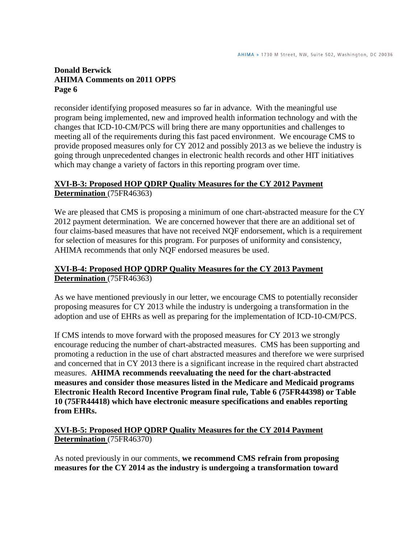reconsider identifying proposed measures so far in advance. With the meaningful use program being implemented, new and improved health information technology and with the changes that ICD-10-CM/PCS will bring there are many opportunities and challenges to meeting all of the requirements during this fast paced environment. We encourage CMS to provide proposed measures only for CY 2012 and possibly 2013 as we believe the industry is going through unprecedented changes in electronic health records and other HIT initiatives which may change a variety of factors in this reporting program over time.

## **XVI-B-3: Proposed HOP QDRP Quality Measures for the CY 2012 Payment Determination** (75FR46363)

We are pleased that CMS is proposing a minimum of one chart-abstracted measure for the CY 2012 payment determination. We are concerned however that there are an additional set of four claims-based measures that have not received NQF endorsement, which is a requirement for selection of measures for this program. For purposes of uniformity and consistency, AHIMA recommends that only NQF endorsed measures be used.

## **XVI-B-4: Proposed HOP QDRP Quality Measures for the CY 2013 Payment Determination** (75FR46363)

As we have mentioned previously in our letter, we encourage CMS to potentially reconsider proposing measures for CY 2013 while the industry is undergoing a transformation in the adoption and use of EHRs as well as preparing for the implementation of ICD-10-CM/PCS.

If CMS intends to move forward with the proposed measures for CY 2013 we strongly encourage reducing the number of chart-abstracted measures. CMS has been supporting and promoting a reduction in the use of chart abstracted measures and therefore we were surprised and concerned that in CY 2013 there is a significant increase in the required chart abstracted measures. **AHIMA recommends reevaluating the need for the chart-abstracted measures and consider those measures listed in the Medicare and Medicaid programs Electronic Health Record Incentive Program final rule, Table 6 (75FR44398) or Table 10 (75FR44418) which have electronic measure specifications and enables reporting from EHRs.**

#### **XVI-B-5: Proposed HOP QDRP Quality Measures for the CY 2014 Payment Determination** (75FR46370)

As noted previously in our comments, **we recommend CMS refrain from proposing measures for the CY 2014 as the industry is undergoing a transformation toward**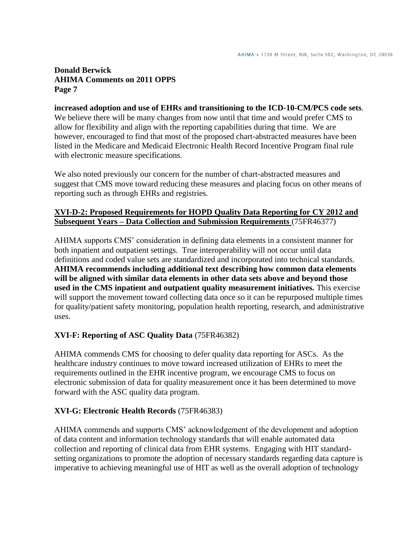# **increased adoption and use of EHRs and transitioning to the ICD-10-CM/PCS code sets**.

We believe there will be many changes from now until that time and would prefer CMS to allow for flexibility and align with the reporting capabilities during that time. We are however, encouraged to find that most of the proposed chart-abstracted measures have been listed in the Medicare and Medicaid Electronic Health Record Incentive Program final rule with electronic measure specifications.

We also noted previously our concern for the number of chart-abstracted measures and suggest that CMS move toward reducing these measures and placing focus on other means of reporting such as through EHRs and registries.

#### **XVI-D-2: Proposed Requirements for HOPD Quality Data Reporting for CY 2012 and Subsequent Years – Data Collection and Submission Requirements** (75FR46377)

AHIMA supports CMS' consideration in defining data elements in a consistent manner for both inpatient and outpatient settings. True interoperability will not occur until data definitions and coded value sets are standardized and incorporated into technical standards. **AHIMA recommends including additional text describing how common data elements will be aligned with similar data elements in other data sets above and beyond those used in the CMS inpatient and outpatient quality measurement initiatives.** This exercise will support the movement toward collecting data once so it can be repurposed multiple times for quality/patient safety monitoring, population health reporting, research, and administrative uses.

## **XVI-F: Reporting of ASC Quality Data** (75FR46382)

AHIMA commends CMS for choosing to defer quality data reporting for ASCs. As the healthcare industry continues to move toward increased utilization of EHRs to meet the requirements outlined in the EHR incentive program, we encourage CMS to focus on electronic submission of data for quality measurement once it has been determined to move forward with the ASC quality data program.

## **XVI-G: Electronic Health Records** (75FR46383)

AHIMA commends and supports CMS' acknowledgement of the development and adoption of data content and information technology standards that will enable automated data collection and reporting of clinical data from EHR systems. Engaging with HIT standardsetting organizations to promote the adoption of necessary standards regarding data capture is imperative to achieving meaningful use of HIT as well as the overall adoption of technology